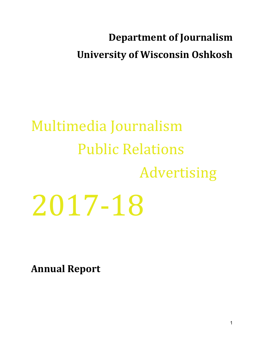# **Department of Journalism University of Wisconsin Oshkosh**

# Multimedia Journalism Public Relations Advertising 2017-18

**Annual Report**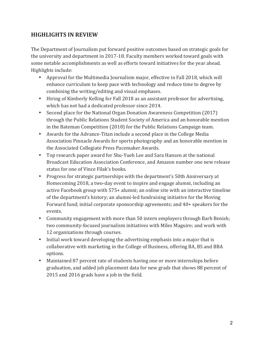# **HIGHLIGHTS IN REVIEW**

The Department of Journalism put forward positive outcomes based on strategic goals for the university and department in 2017-18. Faculty members worked toward goals with some notable accomplishments as well as efforts toward initiatives for the year ahead. Highlights include:

- Approval for the Multimedia Journalism major, effective in Fall 2018, which will enhance curriculum to keep pace with technology and reduce time to degree by combining the writing/editing and visual emphases.
- Hiring of Kimberly Kelling for Fall 2018 as an assistant professor for advertising, which has not had a dedicated professor since 2014.
- Second place for the National Organ Donation Awareness Competition (2017) through the Public Relations Student Society of America and an honorable mention in the Bateman Competition (2018) for the Public Relations Campaign team.
- Awards for the Advance-Titan include a second place in the College Media Association Pinnacle Awards for sports photography and an honorable mention in the Associated Collegiate Press Pacemaker Awards.
- Top research paper award for Shu-Yueh Lee and Sara Hansen at the national Broadcast Education Association Conference, and Amazon number one new release status for one of Vince Filak's books.
- Progress for strategic partnerships with the department's 50th Anniversary at Homecoming 2018, a two-day event to inspire and engage alumni, including an active Facebook group with 575+ alumni; an online site with an interactive timeline of the department's history; an alumni-led fundraising initiative for the Moving Forward fund; initial corporate sponsorship agreements; and  $40+$  speakers for the events.
- Community engagement with more than 50 intern employers through Barb Benish; two community-focused journalism initiatives with Miles Maguire; and work with 12 organizations through courses.
- Initial work toward developing the advertising emphasis into a major that is collaborative with marketing in the College of Business, offering BA, BS and BBA options.
- Maintained 87 percent rate of students having one or more internships before graduation, and added job placement data for new grads that shows 88 percent of 2015 and 2016 grads have a job in the field.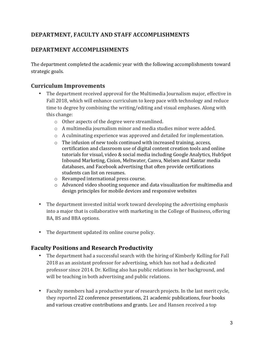# DEPARTMENT, FACULTY AND STAFF ACCOMPLISHMENTS

# **DEPARTMENT ACCOMPLISHMENTS**

The department completed the academic year with the following accomplishments toward strategic goals.

# **Curriculum Improvements**

- The department received approval for the Multimedia Journalism major, effective in Fall 2018, which will enhance curriculum to keep pace with technology and reduce time to degree by combining the writing/editing and visual emphases. Along with this change:
	- $\circ$  Other aspects of the degree were streamlined.
	- $\circ$  A multimedia iournalism minor and media studies minor were added.
	- $\circ$  A culminating experience was approved and detailed for implementation.
	- $\circ$  The infusion of new tools continued with increased training, access, certification and classroom use of digital content creation tools and online tutorials for visual, video & social media including Google Analytics, HubSpot Inbound Marketing, Cision, Meltwater, Canva, Nielsen and Kantar media databases, and Facebook advertising that often provide certifications students can list on resumes.
	- $\circ$  Revamped international press course.
	- $\circ$  Advanced video shooting sequence and data visualization for multimedia and design principles for mobile devices and responsive websites
- The department invested initial work toward developing the advertising emphasis into a major that is collaborative with marketing in the College of Business, offering BA, BS and BBA options.
- The department updated its online course policy.

# **Faculty Positions and Research Productivity**

- The department had a successful search with the hiring of Kimberly Kelling for Fall 2018 as an assistant professor for advertising, which has not had a dedicated professor since 2014. Dr. Kelling also has public relations in her background, and will be teaching in both advertising and public relations.
- Faculty members had a productive year of research projects. In the last merit cycle, they reported 22 conference presentations, 21 academic publications, four books and various creative contributions and grants. Lee and Hansen received a top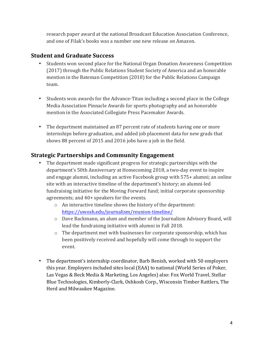research paper award at the national Broadcast Education Association Conference, and one of Filak's books was a number one new release on Amazon.

# **Student and Graduate Success**

- Students won second place for the National Organ Donation Awareness Competition (2017) through the Public Relations Student Society of America and an honorable mention in the Bateman Competition (2018) for the Public Relations Campaign team.
- Students won awards for the Advance-Titan including a second place in the College Media Association Pinnacle Awards for sports photography and an honorable mention in the Associated Collegiate Press Pacemaker Awards.
- The department maintained an 87 percent rate of students having one or more internships before graduation, and added job placement data for new grads that shows 88 percent of 2015 and 2016 jobs have a job in the field.

# **Strategic Partnerships and Community Engagement**

- The department made significant progress for strategic partnerships with the department's 50th Anniversary at Homecoming 2018, a two-day event to inspire and engage alumni, including an active Facebook group with 575+ alumni; an online site with an interactive timeline of the department's history; an alumni-led fundraising initiative for the Moving Forward fund; initial corporate sponsorship agreements; and  $40+$  speakers for the events.
	- $\circ$  An interactive timeline shows the history of the department: https://uwosh.edu/journalism/reunion-timeline/
	- o Dave Backmann, an alum and member of the Journalism Advisory Board, will lead the fundraising initiative with alumni in Fall 2018.
	- $\circ$  The department met with businesses for corporate sponsorship, which has been positively received and hopefully will come through to support the event.
- The department's internship coordinator, Barb Benish, worked with 50 employers this year. Employers included sites local (EAA) to national (World Series of Poker, Las Vegas & Beck Media & Marketing, Los Angeles) also: Fox World Travel, Stellar Blue Technologies, Kimberly-Clark, Oshkosh Corp., Wisconsin Timber Rattlers, The Herd and Milwaukee Magazine.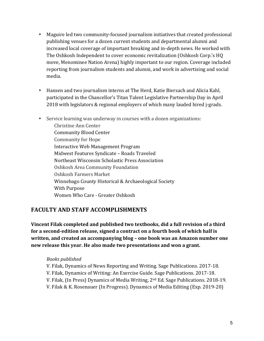- Maguire led two community-focused journalism initiatives that created professional publishing venues for a dozen current students and departmental alumni and increased local coverage of important breaking and in-depth news. He worked with The Oshkosh Independent to cover economic revitalization (Oshkosh Corp.'s HQ move, Menominee Nation Arena) highly important to our region. Coverage included reporting from journalism students and alumni, and work in advertising and social media.
- Hansen and two journalism interns at The Herd, Katie Biersach and Alicia Kahl, participated in the Chancellor's Titan Talent Legislative Partnership Day in April 2018 with legislators & regional employers of which many lauded hired j-grads.
- Service learning was underway in courses with a dozen organizations: Christine Ann Center Community Blood Center Community for Hope Interactive Web Management Program Midwest Features Syndicate - Roads Traveled Northeast Wisconsin Scholastic Press Association Oshkosh Area Community Foundation
	- Oshkosh Farmers Market
	- Winnebago County Historical & Archaeological Society With Purpose
	- Women Who Care Greater Oshkosh

#### **FACULTY AND STAFF ACCOMPLISHMENTS**

Vincent Filak completed and published two textbooks, did a full revision of a third for a second-edition release, signed a contract on a fourth book of which half is **written, and created an accompanying blog – one book was an Amazon number one new release this year. He also made two presentations and won a grant.** 

#### *Books published*

- V. Filak, Dynamics of News Reporting and Writing. Sage Publications. 2017-18.
- V. Filak, Dynamics of Writing: An Exercise Guide. Sage Publications. 2017-18.
- V. Filak, (In Press) Dynamics of Media Writing, 2<sup>nd</sup> Ed. Sage Publications. 2018-19.
- V. Filak & K. Rosenauer (In Progress). Dynamics of Media Editing (Exp. 2019-20)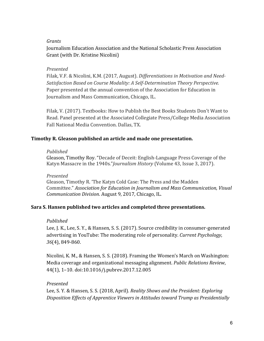#### *Grants*

Journalism Education Association and the National Scholastic Press Association Grant (with Dr. Kristine Nicolini)

#### *Presented*

Filak, V.F. & Nicolini, K.M. (2017, August). *Differentiations in Motivation and Need-*Satisfaction Based on Course Modality: A Self-Determination Theory Perspective. Paper presented at the annual convention of the Association for Education in Journalism and Mass Communication, Chicago, IL.

Filak, V. (2017). Textbooks: How to Publish the Best Books Students Don't Want to Read. Panel presented at the Associated Collegiate Press/College Media Association Fall National Media Convention. Dallas, TX.

#### **Timothy R. Gleason published an article and made one presentation.**

#### *Published*

Gleason, Timothy Roy. "Decade of Deceit: English-Language Press Coverage of the Katyn Massacre in the 1940s."*Journalism History* (Volume 43, Issue 3, 2017).

#### *Presented*

Gleason, Timothy R. 'The Katyn Cold Case: The Press and the Madden Committee." *Association for Education in Journalism and Mass Communication, Visual Communication Division.* August 9, 2017, Chicago, IL.

#### **Sara S. Hansen published two articles and completed three presentations.**

#### *Published*

Lee, J. K., Lee, S. Y., & Hansen, S. S. (2017). Source credibility in consumer-generated advertising in YouTube: The moderating role of personality. *Current Psychology*, *36*(4), 849-860. 

Nicolini, K. M., & Hansen, S. S. (2018). Framing the Women's March on Washington: Media coverage and organizational messaging alignment. *Public Relations Review*, 44(1), 1-10. doi:10.1016/j.pubrev.2017.12.005

#### *Presented*

Lee, S. Y. & Hansen, S. S. (2018, April). *Reality Shows and the President: Exploring Disposition Effects of Apprentice Viewers in Attitudes toward Trump as Presidentially*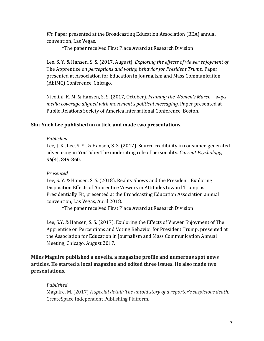*Fit.* Paper presented at the Broadcasting Education Association (BEA) annual convention, Las Vegas.

\*The paper received First Place Award at Research Division

Lee, S. Y. & Hansen, S. S. (2017, August). *Exploring the effects of viewer enjoyment of* The Apprentice *on perceptions and voting behavior for President Trump.* Paper presented at Association for Education in Journalism and Mass Communication (AEJMC) Conference, Chicago.

Nicolini, K. M. & Hansen, S. S. (2017, October). *Framing the Women's March – ways media coverage aligned with movement's political messaging*. Paper presented at Public Relations Society of America International Conference, Boston.

#### **Shu-Yueh Lee published an article and made two presentations.**

#### *Published*

Lee, J. K., Lee, S. Y., & Hansen, S. S. (2017). Source credibility in consumer-generated advertising in YouTube: The moderating role of personality. *Current Psychology*, *36*(4), 849-860. 

#### *Presented*

Lee, S. Y. & Hansen, S. S. (2018). Reality Shows and the President: Exploring Disposition Effects of Apprentice Viewers in Attitudes toward Trump as Presidentially Fit, presented at the Broadcasting Education Association annual convention, Las Vegas, April 2018.

\*The paper received First Place Award at Research Division

Lee, S.Y. & Hansen, S. S. (2017). Exploring the Effects of Viewer Enjoyment of The Apprentice on Perceptions and Voting Behavior for President Trump, presented at the Association for Education in Journalism and Mass Communication Annual Meeting, Chicago, August 2017.

**Miles Maguire published a novella, a magazine profile and numerous spot news articles. He started a local magazine and edited three issues. He also made two presentations.**

# *Published*

Maguire, M. (2017) *A special detail: The untold story of a reporter's suspicious death.* CreateSpace Independent Publishing Platform.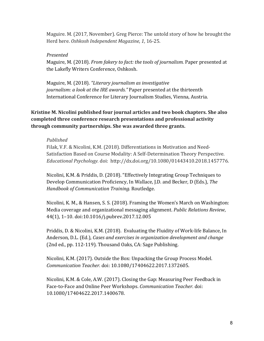Maguire. M. (2017, November). Greg Pierce: The untold story of how he brought the Herd here. Oshkosh Independent Magazine, 1, 16-25.

#### *Presented*

Maguire, M. (2018). *From fakery to fact: the tools of journalism.* Paper presented at the Lakefly Writers Conference, Oshkosh.

Maguire, M. (2018). "Literary journalism as investigative *journalism: a look at the IRE awards."* Paper presented at the thirteenth International Conference for Literary Journalism Studies, Vienna, Austria.

Kristine M. Nicolini published four journal articles and two book chapters. She also completed three conference research presentations and professional activity through community partnerships. She was awarded three grants.

#### *Published*

Filak, V.F. & Nicolini, K.M. (2018). Differentiations in Motivation and Need-Satisfaction Based on Course Modality: A Self-Determination Theory Perspective. *Educational Psychology.* doi: http://dx.doi.org/10.1080/01443410.2018.1457776.

Nicolini, K.M. & Priddis, D. (2018). "Effectively Integrating Group Techniques to Develop Communication Proficiency, In Wallace, J.D. and Becker, D (Eds.), *The Handbook of Communication Training*. Routledge.

Nicolini, K. M., & Hansen, S. S. (2018). Framing the Women's March on Washington: Media coverage and organizational messaging alignment. *Public Relations Review*, 44(1), 1-10. doi:10.1016/j.pubrev.2017.12.005

Priddis, D. & Nicolini, K.M. (2018). Evaluating the Fluidity of Work-life Balance, In Anderson, D.L. (Ed.), *Cases and exercises in organization development and change* (2nd ed., pp. 112-119). Thousand Oaks, CA: Sage Publishing.

Nicolini, K.M. (2017). Outside the Box: Unpacking the Group Process Model. *Communication Teacher.* doi: 10.1080/17404622.2017.1372605.

Nicolini, K.M. & Cole, A.W. (2017). Closing the Gap: Measuring Peer Feedback in Face-to-Face and Online Peer Workshops. *Communication Teacher.* doi: 10.1080/17404622.2017.1400678.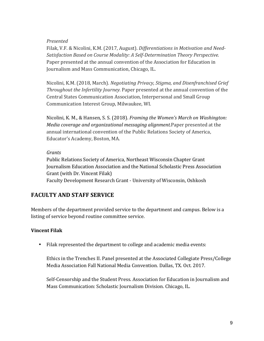#### *Presented*

Filak, V.F. & Nicolini, K.M. (2017, August). *Differentiations in Motivation and Need-Satisfaction Based on Course Modality: A Self-Determination Theory Perspective.* Paper presented at the annual convention of the Association for Education in Journalism and Mass Communication, Chicago, IL.

Nicolini, K.M. (2018, March). *Negotiating Privacy, Stigma, and Disenfranchised Grief Throughout the Infertility Journey.* Paper presented at the annual convention of the Central States Communication Association, Interpersonal and Small Group Communication Interest Group, Milwaukee, WI.

Nicolini, K. M., & Hansen, S. S. (2018). *Framing the Women's March on Washington: Media coverage and organizational messaging alignment.Paper presented at the* annual international convention of the Public Relations Society of America, Educator's Academy, Boston, MA.

#### *Grants*

Public Relations Society of America, Northeast Wisconsin Chapter Grant Journalism Education Association and the National Scholastic Press Association Grant (with Dr. Vincent Filak) Faculty Development Research Grant - University of Wisconsin, Oshkosh

# **FACULTY AND STAFF SERVICE**

Members of the department provided service to the department and campus. Below is a listing of service beyond routine committee service.

#### **Vincent Filak**

• Filak represented the department to college and academic media events:

Ethics in the Trenches II. Panel presented at the Associated Collegiate Press/College Media Association Fall National Media Convention. Dallas, TX. Oct. 2017.

Self-Censorship and the Student Press. Association for Education in Journalism and Mass Communication: Scholastic Journalism Division. Chicago, IL.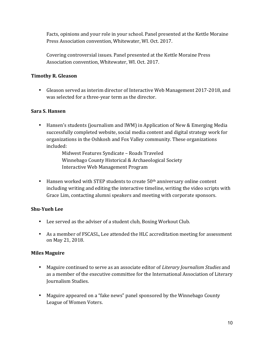Facts, opinions and your role in your school. Panel presented at the Kettle Moraine Press Association convention, Whitewater, WI. Oct. 2017.

Covering controversial issues. Panel presented at the Kettle Moraine Press Association convention, Whitewater, WI. Oct. 2017.

#### **Timothy R. Gleason**

• Gleason served as interim director of Interactive Web Management 2017-2018, and was selected for a three-year term as the director.

#### **Sara S. Hansen**

• Hansen's students (journalism and IWM) in Application of New & Emerging Media successfully completed website, social media content and digital strategy work for organizations in the Oshkosh and Fox Valley community. These organizations included:

> Midwest Features Syndicate - Roads Traveled Winnebago County Historical & Archaeological Society Interactive Web Management Program

• Hansen worked with STEP students to create  $50<sup>th</sup>$  anniversary online content including writing and editing the interactive timeline, writing the video scripts with Grace Lim, contacting alumni speakers and meeting with corporate sponsors.

#### **Shu-Yueh Lee**

- Lee served as the adviser of a student club, Boxing Workout Club.
- As a member of FSCASL, Lee attended the HLC accreditation meeting for assessment on May 21, 2018.

#### **Miles Maguire**

- Maguire continued to serve as an associate editor of *Literary Journalism Studies* and as a member of the executive committee for the International Association of Literary Journalism Studies.
- Maguire appeared on a "fake news" panel sponsored by the Winnebago County League of Women Voters.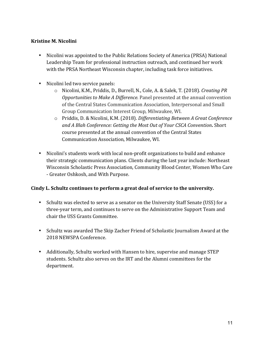#### **Kristine M. Nicolini**

- Nicolini was appointed to the Public Relations Society of America (PRSA) National Leadership Team for professional instruction outreach, and continued her work with the PRSA Northeast Wisconsin chapter, including task force initiatives.
- Nicolini led two service panels:
	- o Nicolini, K.M., Priddis, D., Burrell, N., Cole, A. & Salek, T. (2018). *Creating PR Opportunities to Make A Difference.* Panel presented at the annual convention of the Central States Communication Association, Interpersonal and Small Group Communication Interest Group, Milwaukee, WI.
	- o Priddis, D. & Nicolini, K.M. (2018). *Differentiating Between A Great Conference and A Blah Conference: Getting the Most Out of Your CSCA Convention***.** Short course presented at the annual convention of the Central States Communication Association, Milwaukee, WI.
- Nicolini's students work with local non-profit organizations to build and enhance their strategic communication plans. Clients during the last year include: Northeast Wisconsin Scholastic Press Association, Community Blood Center, Women Who Care - Greater Oshkosh, and With Purpose.

#### Cindy L. Schultz continues to perform a great deal of service to the university.

- Schultz was elected to serve as a senator on the University Staff Senate (USS) for a three-year term, and continues to serve on the Administrative Support Team and chair the USS Grants Committee.
- Schultz was awarded The Skip Zacher Friend of Scholastic Journalism Award at the 2018 NEWSPA Conference.
- Additionally, Schultz worked with Hansen to hire, supervise and manage STEP students. Schultz also serves on the IRT and the Alumni committees for the department.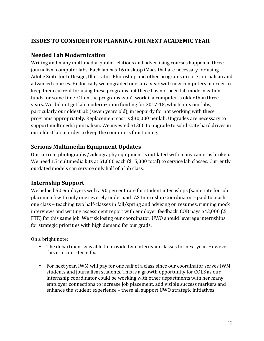# **ISSUES TO CONSIDER FOR PLANNING FOR NEXT ACADEMIC YEAR**

# **Needed Lab Modernization**

Writing and many multimedia, public relations and advertising courses happen in three journalism computer labs. Each lab has 16 desktop iMacs that are necessary for using Adobe Suite for InDesign, Illustrator, Photoshop and other programs in core journalism and advanced courses. Historically we upgraded one lab a year with new computers in order to keep them current for using these programs but there has not been lab modernization funds for some time. Often the programs won't work if a computer is older than three years. We did not get lab modernization funding for 2017-18, which puts our labs, particularly our oldest lab (seven years old), in jeopardy for not working with these programs appropriately. Replacement cost is \$30,000 per lab. Upgrades are necessary to support multimedia journalism. We invested \$1300 to upgrade to solid state hard drives in our oldest lab in order to keep the computers functioning.

# **Serious Multimedia Equipment Updates**

Our current photography/videography equipment is outdated with many cameras broken. We need 15 multimedia kits at \$1,000 each (\$15,000 total) to service lab classes. Currently outdated models can service only half of a lab class.

# **Internship Support**

We helped 50 employers with a 90 percent rate for student internships (same rate for job placement) with only one severely underpaid IAS Internship Coordinator – paid to teach one class – teaching two half-classes in fall/spring and advising on resumes, running mock interviews and writing assessment report with employer feedback. COB pays \$43,000 (.5) FTE) for this same job. We risk losing our coordinator. UWO should leverage internships for strategic priorities with high demand for our grads.

On a bright note:

- The department was able to provide two internship classes for next year. However, this is a short-term fix.
- For next year, IWM will pay for one half of a class since our coordinator serves IWM students and journalism students. This is a growth opportunity for COLS as our internship coordinator could be working with other departments with her many employer connections to increase job placement, add visible success markers and enhance the student experience – these all support UWO strategic initiatives.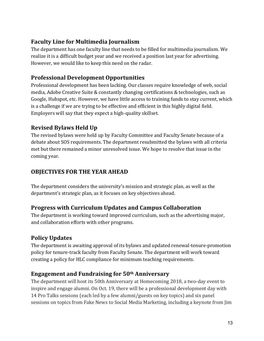# **Faculty Line for Multimedia Journalism**

The department has one faculty line that needs to be filled for multimedia journalism. We realize it is a difficult budget year and we received a position last year for advertising. However, we would like to keep this need on the radar.

# **Professional Development Opportunities**

Professional development has been lacking. Our classes require knowledge of web, social media, Adobe Creative Suite & constantly changing certifications & technologies, such as Google, Hubspot, etc. However, we have little access to training funds to stay current, which is a challenge if we are trying to be effective and efficient in this highly digital field. Employers will say that they expect a high-quality skillset.

# **Revised Bylaws Held Up**

The revised bylaws were held up by Faculty Committee and Faculty Senate because of a debate about SOS requirements. The department resubmitted the bylaws with all criteria met but there remained a minor unresolved issue. We hope to resolve that issue in the coming year.

# **OBJECTIVES FOR THE YEAR AHEAD**

The department considers the university's mission and strategic plan, as well as the department's strategic plan, as it focuses on key objectives ahead.

# **Progress with Curriculum Updates and Campus Collaboration**

The department is working toward improved curriculum, such as the advertising major, and collaboration efforts with other programs.

# **Policy Updates**

The department is awaiting approval of its bylaws and updated renewal-tenure-promotion policy for tenure-track faculty from Faculty Senate. The department will work toward creating a policy for HLC compliance for minimum teaching requirements.

# **Engagement and Fundraising for 50th Anniversary**

The department will host its 50th Anniversary at Homecoming 2018, a two-day event to inspire and engage alumni. On Oct. 19, there will be a professional development day with 14 Pro Talks sessions (each led by a few alumni/guests on key topics) and six panel sessions on topics from Fake News to Social Media Marketing, including a keynote from Jim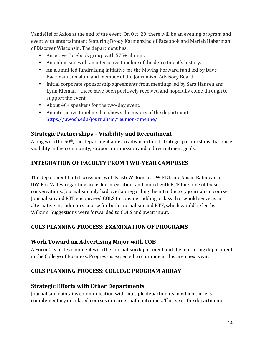VandeHei of Axios at the end of the event. On Oct. 20, there will be an evening program and event with entertainment featuring Brody Karmenzind of Facebook and Mariah Haberman of Discover Wisconsin. The department has:

- An active Facebook group with 575+ alumni.
- An online site with an interactive timeline of the department's history.
- An alumni-led fundraising initiative for the Moving Forward fund led by Dave Backmann, an alum and member of the Journalism Advisory Board
- Initial corporate sponsorship agreements from meetings led by Sara Hansen and Lynn Kleman - these have been positively received and hopefully come through to support the event.
- About 40+ speakers for the two-day event.
- An interactive timeline that shows the history of the department: https://uwosh.edu/journalism/reunion-timeline/

# **Strategic Partnerships - Visibility and Recruitment**

Along with the  $50<sup>th</sup>$ , the department aims to advance/build strategic partnerships that raise visibility in the community, support our mission and aid recruitment goals.

# **INTEGRATION OF FACULTY FROM TWO-YEAR CAMPUSES**

The department had discussions with Kristi Wilkum at UW-FDL and Susan Rabideau at UW-Fox Valley regarding areas for integration, and joined with RTF for some of these conversations. Journalism only had overlap regarding the introductory journalism course. Journalism and RTF encouraged COLS to consider adding a class that would serve as an alternative introductory course for both journalism and RTF, which would be led by Wilkum. Suggestions were forwarded to COLS and await input.

# **COLS PLANNING PROCESS: EXAMINATION OF PROGRAMS**

# **Work Toward an Advertising Major with COB**

A Form C is in development with the journalism department and the marketing department in the College of Business. Progress is expected to continue in this area next year.

# **COLS PLANNING PROCESS: COLLEGE PROGRAM ARRAY**

# **Strategic Efforts with Other Departments**

Journalism maintains communication with multiple departments in which there is complementary or related courses or career path outcomes. This year, the departments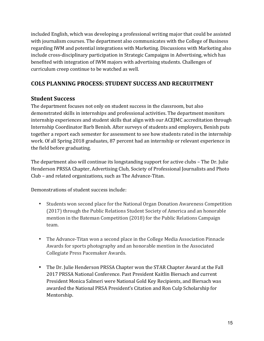included English, which was developing a professional writing major that could be assisted with journalism courses. The department also communicates with the College of Business regarding IWM and potential integrations with Marketing. Discussions with Marketing also include cross-disciplinary participation in Strategic Campaigns in Advertising, which has benefited with integration of IWM majors with advertising students. Challenges of curriculum creep continue to be watched as well.

# **COLS PLANNING PROCESS: STUDENT SUCCESS AND RECRUITMENT**

# **Student Success**

The department focuses not only on student success in the classroom, but also demonstrated skills in internships and professional activities. The department monitors internship experiences and student skills that align with our ACEJMC accreditation through Internship Coordinator Barb Benish. After surveys of students and employers, Benish puts together a report each semester for assessment to see how students rated in the internship work. Of all Spring 2018 graduates, 87 percent had an internship or relevant experience in the field before graduating.

The department also will continue its longstanding support for active clubs – The Dr. Julie Henderson PRSSA Chapter, Advertising Club, Society of Professional Journalists and Photo Club – and related organizations, such as The Advance-Titan.

Demonstrations of student success include:

- Students won second place for the National Organ Donation Awareness Competition (2017) through the Public Relations Student Society of America and an honorable mention in the Bateman Competition (2018) for the Public Relations Campaign team.
- The Advance-Titan won a second place in the College Media Association Pinnacle Awards for sports photography and an honorable mention in the Associated Collegiate Press Pacemaker Awards.
- The Dr. Julie Henderson PRSSA Chapter won the STAR Chapter Award at the Fall 2017 PRSSA National Conference. Past President Kaitlin Biersach and current President Monica Salmeri were National Gold Key Recipients, and Biersach was awarded the National PRSA President's Citation and Ron Culp Scholarship for Mentorship.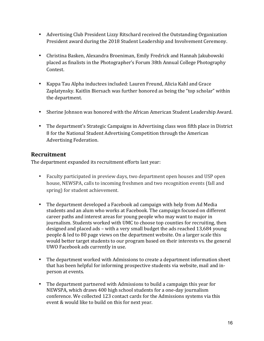- Advertising Club President Lizzy Ritschard received the Outstanding Organization President award during the 2018 Student Leadership and Involvement Ceremony.
- Christina Basken, Alexandra Broeniman, Emily Fredrick and Hannah Jakubowski placed as finalists in the Photographer's Forum 38th Annual College Photography Contest.
- Kappa Tau Alpha inductees included: Lauren Freund, Alicia Kahl and Grace Zaplatynsky. Kaitlin Biersach was further honored as being the "top scholar" within the department.
- Sherine Johnson was honored with the African American Student Leadership Award.
- The department's Strategic Campaigns in Advertising class won fifth place in District 8 for the National Student Advertising Competition through the American Advertising Federation.

# **Recruitment**

The department expanded its recruitment efforts last year:

- Faculty participated in preview days, two department open houses and USP open house, NEWSPA, calls to incoming freshmen and two recognition events (fall and spring) for student achievement.
- The department developed a Facebook ad campaign with help from Ad Media students and an alum who works at Facebook. The campaign focused on different career paths and interest areas for young people who may want to major in journalism. Students worked with UMC to choose top counties for recruiting, then designed and placed ads – with a very small budget the ads reached 13,684 young people & led to 80 page views on the department website. On a larger scale this would better target students to our program based on their interests vs. the general UWO Facebook ads currently in use.
- The department worked with Admissions to create a department information sheet that has been helpful for informing prospective students via website, mail and inperson at events.
- The department partnered with Admissions to build a campaign this year for NEWSPA, which draws 400 high school students for a one-day journalism conference. We collected 123 contact cards for the Admissions systems via this event & would like to build on this for next year.